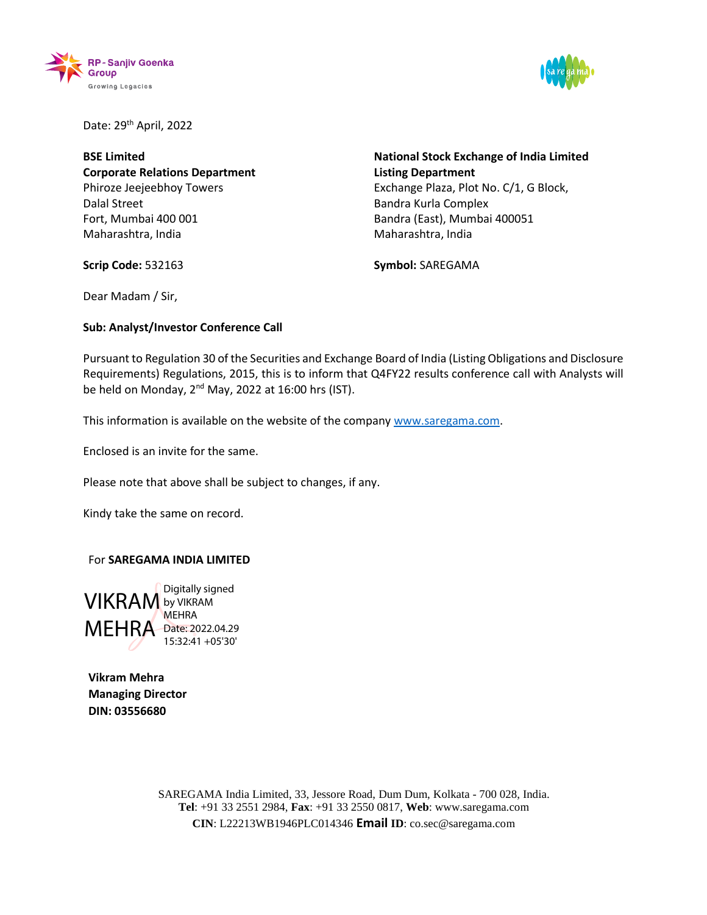



Date: 29<sup>th</sup> April, 2022

**BSE Limited Corporate Relations Department** Phiroze Jeejeebhoy Towers Dalal Street Fort, Mumbai 400 001 Maharashtra, India

**National Stock Exchange of India Limited Listing Department** Exchange Plaza, Plot No. C/1, G Block, Bandra Kurla Complex Bandra (East), Mumbai 400051 Maharashtra, India

**Scrip Code:** 532163

**Symbol:** SAREGAMA

Dear Madam / Sir,

## **Sub: Analyst/Investor Conference Call**

Pursuant to Regulation 30 of the Securities and Exchange Board of India (Listing Obligations and Disclosure Requirements) Regulations, 2015, this is to inform that Q4FY22 results conference call with Analysts will be held on Monday, 2<sup>nd</sup> May, 2022 at 16:00 hrs (IST).

This information is available on the website of the company [www.saregama.com.](http://www.saregama.com/)

Enclosed is an invite for the same.

Please note that above shall be subject to changes, if any.

Kindy take the same on record.

## For **SAREGAMA INDIA LIMITED**

VIKRAM by VIKRAM MEHRA Date: 2022.04.29 Digitally signed **MEHRA** 15:32:41 +05'30'

**Vikram Mehra Managing Director DIN: 03556680**

> SAREGAMA India Limited, 33, Jessore Road, Dum Dum, Kolkata - 700 028, India. **Tel**: +91 33 2551 2984, **Fax**: +91 33 2550 0817, **Web**: [www.saregama.com](http://www.saregama.com/) **CIN**: L22213WB1946PLC014346 **Email ID**: co.sec@saregama.com